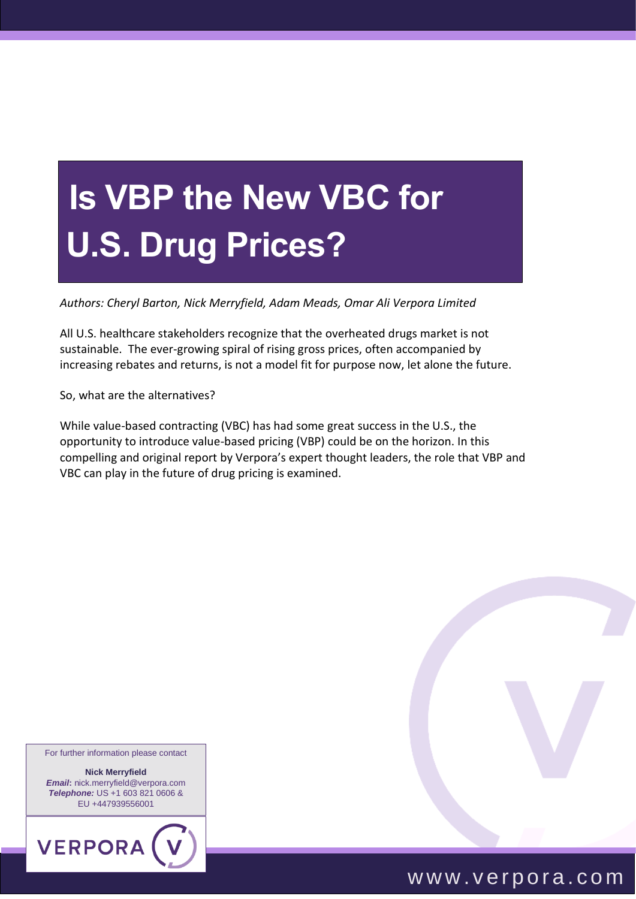# **Is VBP the New VBC for U.S. Drug Prices?**

*Authors: Cheryl Barton, Nick Merryfield, Adam Meads, Omar Ali Verpora Limited*

All U.S. healthcare stakeholders recognize that the overheated drugs market is not sustainable. The ever-growing spiral of rising gross prices, often accompanied by increasing rebates and returns, is not a model fit for purpose now, let alone the future.

So, what are the alternatives?

While value-based contracting (VBC) has had some great success in the U.S., the opportunity to introduce value-based pricing (VBP) could be on the horizon. In this compelling and original report by Verpora's expert thought leaders, the role that VBP and VBC can play in the future of drug pricing is examined.

For further information please contact

**Nick Merryfield**  *Email***:** nick.merryfield@verpora.com *Telephone:* US +1 603 821 0606 & EU +447939556001





# w w w . v e r p o r a . c o m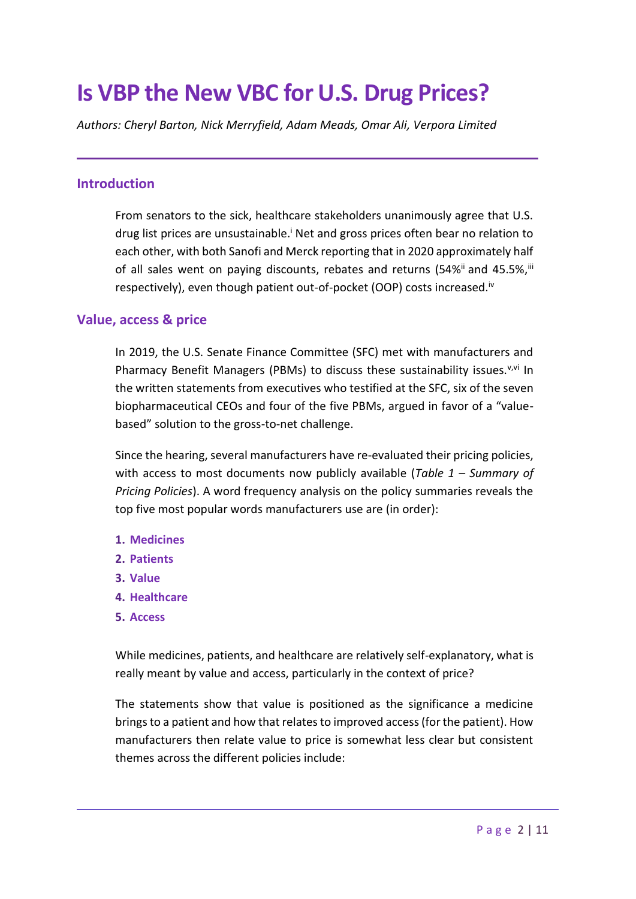# **Is VBP the New VBC for U.S. Drug Prices?**

*Authors: Cheryl Barton, Nick Merryfield, Adam Meads, Omar Ali, Verpora Limited*

#### **Introduction**

<span id="page-1-0"></span>From senators to the sick, healthcare stakeholders unanimously agree that U.S. drug list prices are unsustainable.<sup>i</sup> Net and gross prices often bear no relation to each other, with both Sanofi and Merck reporting that in 2020 approximately half of all sales went on paying discounts, rebates and returns (54%<sup>ii</sup> and 45.5%,<sup>iii</sup> respectively), even though patient out-of-pocket (OOP) costs increased.<sup>iv</sup>

#### **Value, access & price**

In 2019, the U.S. Senate Finance Committee (SFC) met with manufacturers and Pharmacy Benefit Managers (PBMs) to discuss these sustainability issues.<sup>v,vi</sup> In the written statements from executives who testified at the SFC, six of the seven biopharmaceutical CEOs and four of the five PBMs, argued in favor of a "valuebased" solution to the gross-to-net challenge.

Since the hearing, several manufacturers have re-evaluated their pricing policies, with access to most documents now publicly available (*Table 1 – Summary of Pricing Policies*). A word frequency analysis on the policy summaries reveals the top five most popular words manufacturers use are (in order):

- **1. Medicines**
- **2. Patients**
- **3. Value**
- **4. Healthcare**
- **5. Access**

While medicines, patients, and healthcare are relatively self-explanatory, what is really meant by value and access, particularly in the context of price?

The statements show that value is positioned as the significance a medicine bringsto a patient and how that relates to improved access (for the patient). How manufacturers then relate value to price is somewhat less clear but consistent themes across the different policies include: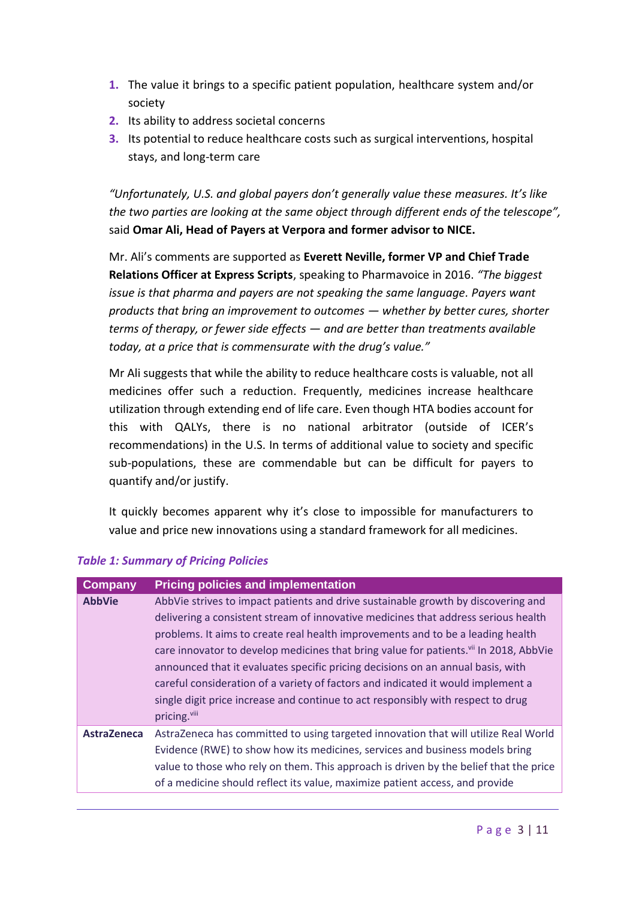- **1.** The value it brings to a specific patient population, healthcare system and/or society
- **2.** Its ability to address societal concerns
- **3.** Its potential to reduce healthcare costs such as surgical interventions, hospital stays, and long-term care

*"Unfortunately, U.S. and global payers don't generally value these measures. It's like the two parties are looking at the same object through different ends of the telescope",* said **Omar Ali, Head of Payers at Verpora and former advisor to NICE.**

Mr. Ali's comments are supported as **Everett Neville, former VP and Chief Trade Relations Officer at Express Scripts**, speaking to Pharmavoice in 2016. *"The biggest issue is that pharma and payers are not speaking the same language. Payers want products that bring an improvement to outcomes — whether by better cures, shorter terms of therapy, or fewer side effects — and are better than treatments available today, at a price that is commensurate with the drug's value."*

Mr Ali suggests that while the ability to reduce healthcare costs is valuable, not all medicines offer such a reduction. Frequently, medicines increase healthcare utilization through extending end of life care. Even though HTA bodies account for this with QALYs, there is no national arbitrator (outside of ICER's recommendations) in the U.S. In terms of additional value to society and specific sub-populations, these are commendable but can be difficult for payers to quantify and/or justify.

It quickly becomes apparent why it's close to impossible for manufacturers to value and price new innovations using a standard framework for all medicines.

| <b>Company</b>     | <b>Pricing policies and implementation</b>                                                        |
|--------------------|---------------------------------------------------------------------------------------------------|
| <b>AbbVie</b>      | AbbVie strives to impact patients and drive sustainable growth by discovering and                 |
|                    | delivering a consistent stream of innovative medicines that address serious health                |
|                    | problems. It aims to create real health improvements and to be a leading health                   |
|                    | care innovator to develop medicines that bring value for patients. <sup>vii</sup> In 2018, AbbVie |
|                    | announced that it evaluates specific pricing decisions on an annual basis, with                   |
|                    | careful consideration of a variety of factors and indicated it would implement a                  |
|                    | single digit price increase and continue to act responsibly with respect to drug                  |
|                    | pricing. <sup>viii</sup>                                                                          |
| <b>AstraZeneca</b> | AstraZeneca has committed to using targeted innovation that will utilize Real World               |
|                    | Evidence (RWE) to show how its medicines, services and business models bring                      |
|                    | value to those who rely on them. This approach is driven by the belief that the price             |
|                    | of a medicine should reflect its value, maximize patient access, and provide                      |

#### *Table 1: Summary of Pricing Policies*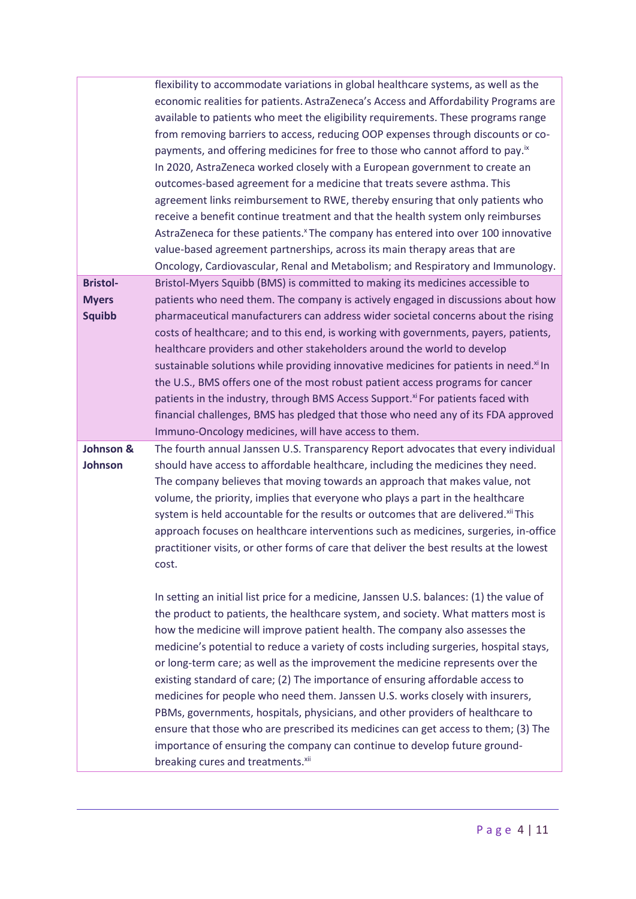<span id="page-3-1"></span><span id="page-3-0"></span>

|                                                  | flexibility to accommodate variations in global healthcare systems, as well as the<br>economic realities for patients. AstraZeneca's Access and Affordability Programs are<br>available to patients who meet the eligibility requirements. These programs range<br>from removing barriers to access, reducing OOP expenses through discounts or co-<br>payments, and offering medicines for free to those who cannot afford to pay. <sup>ix</sup><br>In 2020, AstraZeneca worked closely with a European government to create an<br>outcomes-based agreement for a medicine that treats severe asthma. This<br>agreement links reimbursement to RWE, thereby ensuring that only patients who<br>receive a benefit continue treatment and that the health system only reimburses<br>AstraZeneca for these patients. The company has entered into over 100 innovative<br>value-based agreement partnerships, across its main therapy areas that are<br>Oncology, Cardiovascular, Renal and Metabolism; and Respiratory and Immunology. |
|--------------------------------------------------|--------------------------------------------------------------------------------------------------------------------------------------------------------------------------------------------------------------------------------------------------------------------------------------------------------------------------------------------------------------------------------------------------------------------------------------------------------------------------------------------------------------------------------------------------------------------------------------------------------------------------------------------------------------------------------------------------------------------------------------------------------------------------------------------------------------------------------------------------------------------------------------------------------------------------------------------------------------------------------------------------------------------------------------|
| <b>Bristol-</b><br><b>Myers</b><br><b>Squibb</b> | Bristol-Myers Squibb (BMS) is committed to making its medicines accessible to<br>patients who need them. The company is actively engaged in discussions about how<br>pharmaceutical manufacturers can address wider societal concerns about the rising<br>costs of healthcare; and to this end, is working with governments, payers, patients,<br>healthcare providers and other stakeholders around the world to develop<br>sustainable solutions while providing innovative medicines for patients in need. <sup>xi</sup> In<br>the U.S., BMS offers one of the most robust patient access programs for cancer<br>patients in the industry, through BMS Access Support. <sup>xi</sup> For patients faced with<br>financial challenges, BMS has pledged that those who need any of its FDA approved<br>Immuno-Oncology medicines, will have access to them.                                                                                                                                                                         |
| Johnson &<br>Johnson                             | The fourth annual Janssen U.S. Transparency Report advocates that every individual<br>should have access to affordable healthcare, including the medicines they need.<br>The company believes that moving towards an approach that makes value, not<br>volume, the priority, implies that everyone who plays a part in the healthcare<br>system is held accountable for the results or outcomes that are delivered. <sup>xii</sup> This<br>approach focuses on healthcare interventions such as medicines, surgeries, in-office<br>practitioner visits, or other forms of care that deliver the best results at the lowest<br>cost.                                                                                                                                                                                                                                                                                                                                                                                                  |
|                                                  | In setting an initial list price for a medicine, Janssen U.S. balances: (1) the value of<br>the product to patients, the healthcare system, and society. What matters most is<br>how the medicine will improve patient health. The company also assesses the<br>medicine's potential to reduce a variety of costs including surgeries, hospital stays,<br>or long-term care; as well as the improvement the medicine represents over the<br>existing standard of care; (2) The importance of ensuring affordable access to<br>medicines for people who need them. Janssen U.S. works closely with insurers,<br>PBMs, governments, hospitals, physicians, and other providers of healthcare to<br>ensure that those who are prescribed its medicines can get access to them; (3) The<br>importance of ensuring the company can continue to develop future ground-<br>breaking cures and treatments. <sup>xii</sup>                                                                                                                    |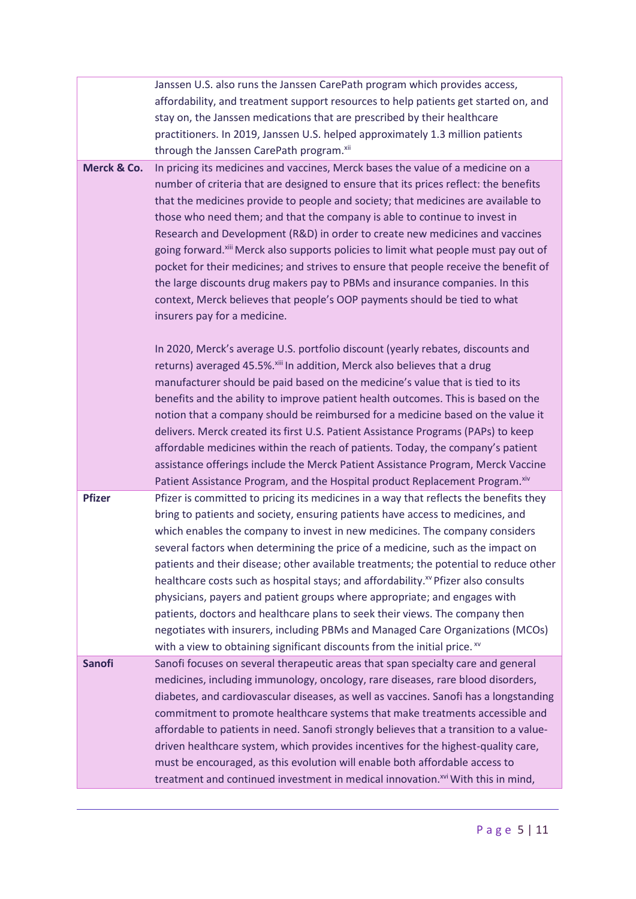<span id="page-4-2"></span><span id="page-4-1"></span><span id="page-4-0"></span>

|               | Janssen U.S. also runs the Janssen CarePath program which provides access,                                                                                                                                                                                                                                                                                                                                                                                                                                                                                                                                                                                                                                                                                                                               |
|---------------|----------------------------------------------------------------------------------------------------------------------------------------------------------------------------------------------------------------------------------------------------------------------------------------------------------------------------------------------------------------------------------------------------------------------------------------------------------------------------------------------------------------------------------------------------------------------------------------------------------------------------------------------------------------------------------------------------------------------------------------------------------------------------------------------------------|
|               | affordability, and treatment support resources to help patients get started on, and                                                                                                                                                                                                                                                                                                                                                                                                                                                                                                                                                                                                                                                                                                                      |
|               | stay on, the Janssen medications that are prescribed by their healthcare                                                                                                                                                                                                                                                                                                                                                                                                                                                                                                                                                                                                                                                                                                                                 |
|               | practitioners. In 2019, Janssen U.S. helped approximately 1.3 million patients                                                                                                                                                                                                                                                                                                                                                                                                                                                                                                                                                                                                                                                                                                                           |
|               | through the Janssen CarePath program. <sup>xii</sup>                                                                                                                                                                                                                                                                                                                                                                                                                                                                                                                                                                                                                                                                                                                                                     |
| Merck & Co.   | In pricing its medicines and vaccines, Merck bases the value of a medicine on a<br>number of criteria that are designed to ensure that its prices reflect: the benefits<br>that the medicines provide to people and society; that medicines are available to<br>those who need them; and that the company is able to continue to invest in<br>Research and Development (R&D) in order to create new medicines and vaccines<br>going forward. xiii Merck also supports policies to limit what people must pay out of<br>pocket for their medicines; and strives to ensure that people receive the benefit of<br>the large discounts drug makers pay to PBMs and insurance companies. In this<br>context, Merck believes that people's OOP payments should be tied to what<br>insurers pay for a medicine. |
|               | In 2020, Merck's average U.S. portfolio discount (yearly rebates, discounts and<br>returns) averaged 45.5%. Xiii In addition, Merck also believes that a drug<br>manufacturer should be paid based on the medicine's value that is tied to its<br>benefits and the ability to improve patient health outcomes. This is based on the<br>notion that a company should be reimbursed for a medicine based on the value it<br>delivers. Merck created its first U.S. Patient Assistance Programs (PAPs) to keep<br>affordable medicines within the reach of patients. Today, the company's patient<br>assistance offerings include the Merck Patient Assistance Program, Merck Vaccine<br>Patient Assistance Program, and the Hospital product Replacement Program. <sup>xiv</sup>                           |
| <b>Pfizer</b> | Pfizer is committed to pricing its medicines in a way that reflects the benefits they                                                                                                                                                                                                                                                                                                                                                                                                                                                                                                                                                                                                                                                                                                                    |
|               | bring to patients and society, ensuring patients have access to medicines, and<br>which enables the company to invest in new medicines. The company considers<br>several factors when determining the price of a medicine, such as the impact on<br>patients and their disease; other available treatments; the potential to reduce other<br>healthcare costs such as hospital stays; and affordability. <sup>xv</sup> Pfizer also consults<br>physicians, payers and patient groups where appropriate; and engages with<br>patients, doctors and healthcare plans to seek their views. The company then<br>negotiates with insurers, including PBMs and Managed Care Organizations (MCOs)<br>with a view to obtaining significant discounts from the initial price. XV                                  |
| <b>Sanofi</b> | Sanofi focuses on several therapeutic areas that span specialty care and general                                                                                                                                                                                                                                                                                                                                                                                                                                                                                                                                                                                                                                                                                                                         |
|               | medicines, including immunology, oncology, rare diseases, rare blood disorders,<br>diabetes, and cardiovascular diseases, as well as vaccines. Sanofi has a longstanding<br>commitment to promote healthcare systems that make treatments accessible and<br>affordable to patients in need. Sanofi strongly believes that a transition to a value-<br>driven healthcare system, which provides incentives for the highest-quality care,<br>must be encouraged, as this evolution will enable both affordable access to<br>treatment and continued investment in medical innovation. <sup>xvi</sup> With this in mind,                                                                                                                                                                                    |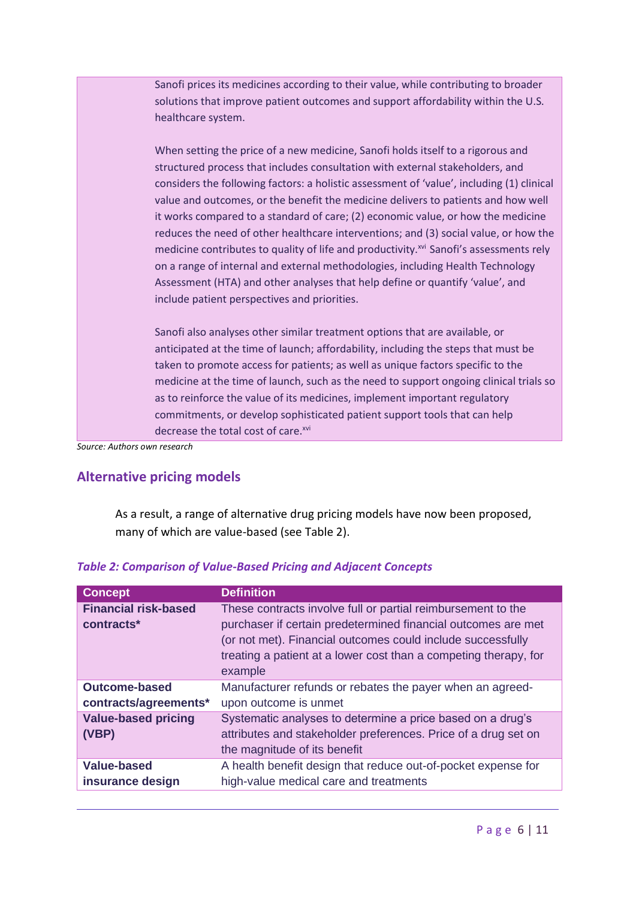Sanofi prices its medicines according to their value, while contributing to broader solutions that improve patient outcomes and support affordability within the U.S. healthcare system.

When setting the price of a new medicine, Sanofi holds itself to a rigorous and structured process that includes consultation with external stakeholders, and considers the following factors: a holistic assessment of 'value', including (1) clinical value and outcomes, or the benefit the medicine delivers to patients and how well it works compared to a standard of care; (2) economic value, or how the medicine reduces the need of other healthcare interventions; and (3) social value, or how the medicine contributes to quality of life and productivity.<sup>[xvi](#page-4-2)</sup> Sanofi's assessments rely on a range of internal and external methodologies, including Health Technology Assessment (HTA) and other analyses that help define or quantify 'value', and include patient perspectives and priorities.

Sanofi also analyses other similar treatment options that are available, or anticipated at the time of launch; affordability, including the steps that must be taken to promote access for patients; as well as unique factors specific to the medicine at the time of launch, such as the need to support ongoing clinical trials so as to reinforce the value of its medicines, implement important regulatory commitments, or develop sophisticated patient support tools that can help decrease the total cost of care.[xvi](#page-4-2)

*Source: Authors own research*

#### **Alternative pricing models**

As a result, a range of alternative drug pricing models have now been proposed, many of which are value-based (see Table 2).

| <b>Concept</b>                                | <b>Definition</b>                                                                                                                                                                                                                                                           |
|-----------------------------------------------|-----------------------------------------------------------------------------------------------------------------------------------------------------------------------------------------------------------------------------------------------------------------------------|
| <b>Financial risk-based</b><br>contracts*     | These contracts involve full or partial reimbursement to the<br>purchaser if certain predetermined financial outcomes are met<br>(or not met). Financial outcomes could include successfully<br>treating a patient at a lower cost than a competing therapy, for<br>example |
| <b>Outcome-based</b><br>contracts/agreements* | Manufacturer refunds or rebates the payer when an agreed-<br>upon outcome is unmet                                                                                                                                                                                          |
| <b>Value-based pricing</b><br>(VBP)           | Systematic analyses to determine a price based on a drug's<br>attributes and stakeholder preferences. Price of a drug set on<br>the magnitude of its benefit                                                                                                                |
| <b>Value-based</b><br>insurance design        | A health benefit design that reduce out-of-pocket expense for<br>high-value medical care and treatments                                                                                                                                                                     |

#### *Table 2: Comparison of Value-Based Pricing and Adjacent Concepts*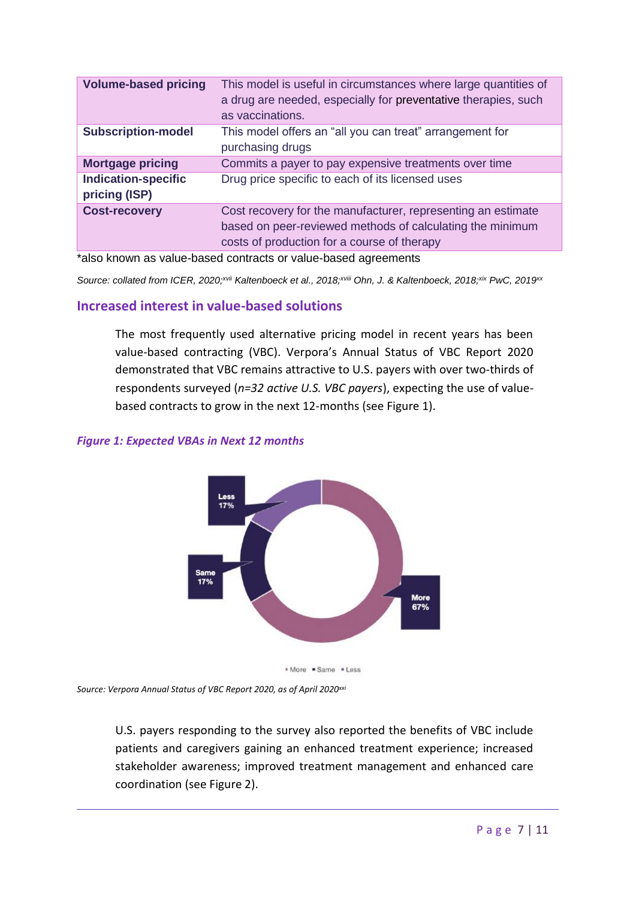| <b>Volume-based pricing</b>                 | This model is useful in circumstances where large quantities of<br>a drug are needed, especially for preventative therapies, such<br>as vaccinations.                                                                            |
|---------------------------------------------|----------------------------------------------------------------------------------------------------------------------------------------------------------------------------------------------------------------------------------|
| <b>Subscription-model</b>                   | This model offers an "all you can treat" arrangement for<br>purchasing drugs                                                                                                                                                     |
| <b>Mortgage pricing</b>                     | Commits a payer to pay expensive treatments over time                                                                                                                                                                            |
| <b>Indication-specific</b><br>pricing (ISP) | Drug price specific to each of its licensed uses                                                                                                                                                                                 |
| <b>Cost-recovery</b>                        | Cost recovery for the manufacturer, representing an estimate<br>based on peer-reviewed methods of calculating the minimum<br>costs of production for a course of therapy                                                         |
| .                                           | $\mathbf{r}$ , and the set of the set of the set of the set of the set of the set of the set of the set of the set of the set of the set of the set of the set of the set of the set of the set of the set of the set of the set |

\*also known as value-based contracts or value-based agreements

*Source: collated from ICER, 2020;xvii Kaltenboeck et al., 2018;xviii Ohn, J. & Kaltenboeck, 2018;xix PwC, 2019xx* 

#### **Increased interest in value-based solutions**

The most frequently used alternative pricing model in recent years has been value-based contracting (VBC). Verpora's Annual Status of VBC Report 2020 demonstrated that VBC remains attractive to U.S. payers with over two-thirds of respondents surveyed (*n=32 active U.S. VBC payers*), expecting the use of valuebased contracts to grow in the next 12-months (see Figure 1).



#### *Figure 1: Expected VBAs in Next 12 months*

<span id="page-6-0"></span>. More . Same . Less

*Source: Verpora Annual Status of VBC Report 2020, as of April 2020xxi*

U.S. payers responding to the survey also reported the benefits of VBC include patients and caregivers gaining an enhanced treatment experience; increased stakeholder awareness; improved treatment management and enhanced care coordination (see Figure 2).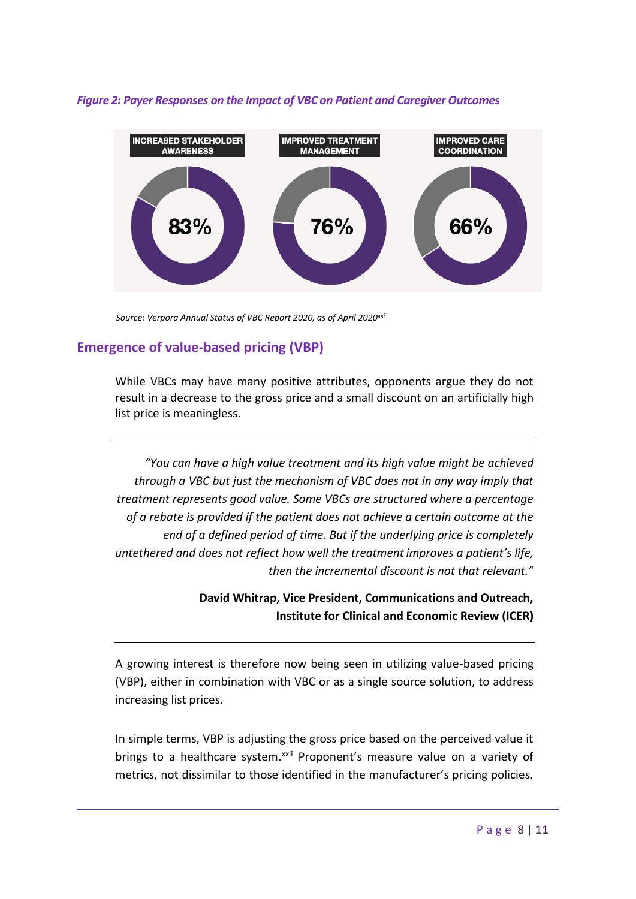

#### *Figure 2: Payer Responses on the Impact of VBC on Patient and Caregiver Outcomes*

 *Source: Verpora Annual Status of VBC Report 2020, as of April 2020[xxi](#page-6-0)*

## **Emergence of value-based pricing (VBP)**

While VBCs may have many positive attributes, opponents argue they do not result in a decrease to the gross price and a small discount on an artificially high list price is meaningless.

*"You can have a high value treatment and its high value might be achieved through a VBC but just the mechanism of VBC does not in any way imply that treatment represents good value. Some VBCs are structured where a percentage of a rebate is provided if the patient does not achieve a certain outcome at the end of a defined period of time. But if the underlying price is completely untethered and does not reflect how well the treatment improves a patient's life, then the incremental discount is not that relevant."*

#### **David Whitrap, Vice President, Communications and Outreach, Institute for Clinical and Economic Review (ICER)**

A growing interest is therefore now being seen in utilizing value-based pricing (VBP), either in combination with VBC or as a single source solution, to address increasing list prices.

In simple terms, VBP is adjusting the gross price based on the perceived value it brings to a healthcare system.<sup>xxii</sup> Proponent's measure value on a variety of metrics, not dissimilar to those identified in the manufacturer's pricing policies.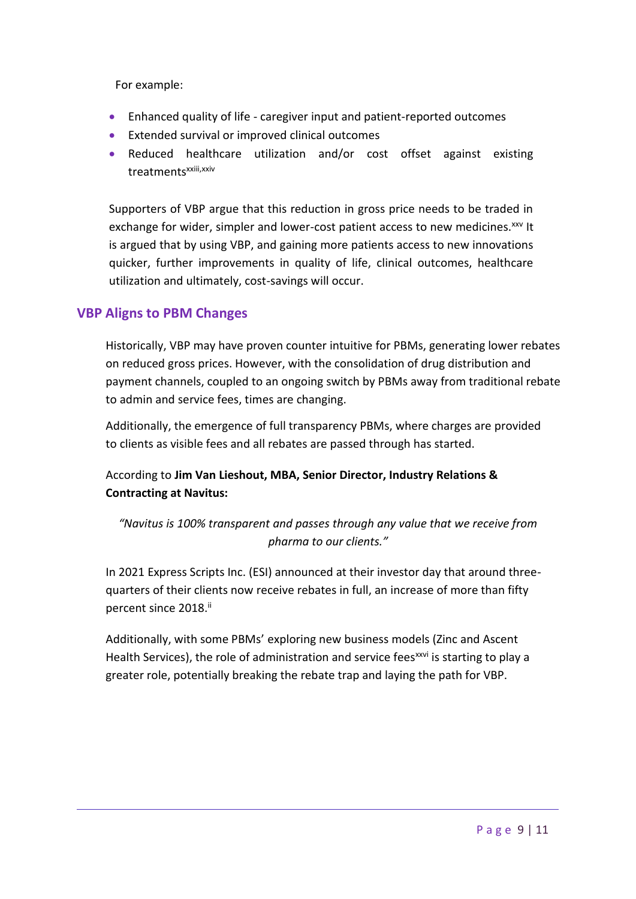For example:

- Enhanced quality of life caregiver input and patient-reported outcomes
- Extended survival or improved clinical outcomes
- Reduced healthcare utilization and/or cost offset against existing treatments<sup>xxiii,xxiv</sup>

Supporters of VBP argue that this reduction in gross price needs to be traded in exchange for wider, simpler and lower-cost patient access to new medicines.<sup>xxv</sup> It is argued that by using VBP, and gaining more patients access to new innovations quicker, further improvements in quality of life, clinical outcomes, healthcare utilization and ultimately, cost-savings will occur.

### **VBP Aligns to PBM Changes**

Historically, VBP may have proven counter intuitive for PBMs, generating lower rebates on reduced gross prices. However, with the consolidation of drug distribution and payment channels, coupled to an ongoing switch by PBMs away from traditional rebate to admin and service fees, times are changing.

Additionally, the emergence of full transparency PBMs, where charges are provided to clients as visible fees and all rebates are passed through has started.

According to **Jim Van Lieshout, MBA, Senior Director, Industry Relations & Contracting at Navitus:**

*"Navitus is 100% transparent and passes through any value that we receive from pharma to our clients."*

In 2021 Express Scripts Inc. (ESI) announced at their investor day that around threequarters of their clients now receive rebates in full, an increase of more than fifty percent since 2018[.](#page-1-0)ii

Additionally, with some PBMs' exploring new business models (Zinc and Ascent Health Services), the role of administration and service fees<sup>xxvi</sup> is starting to play a greater role, potentially breaking the rebate trap and laying the path for VBP.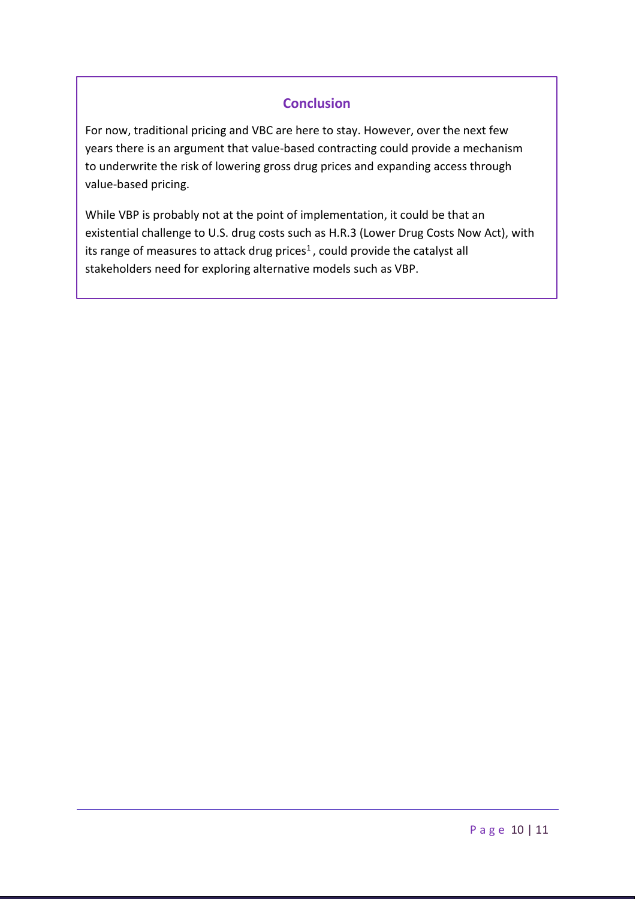# **Conclusion**

For now, traditional pricing and VBC are here to stay. However, over the next few years there is an argument that value-based contracting could provide a mechanism to underwrite the risk of lowering gross drug prices and expanding access through value-based pricing.

While VBP is probably not at the point of implementation, it could be that an existential challenge to U.S. drug costs such as H.R.3 (Lower Drug Costs Now Act), with its range of measures to attack drug prices<sup>1</sup>, could provide the catalyst all stakeholders need for exploring alternative models such as VBP.